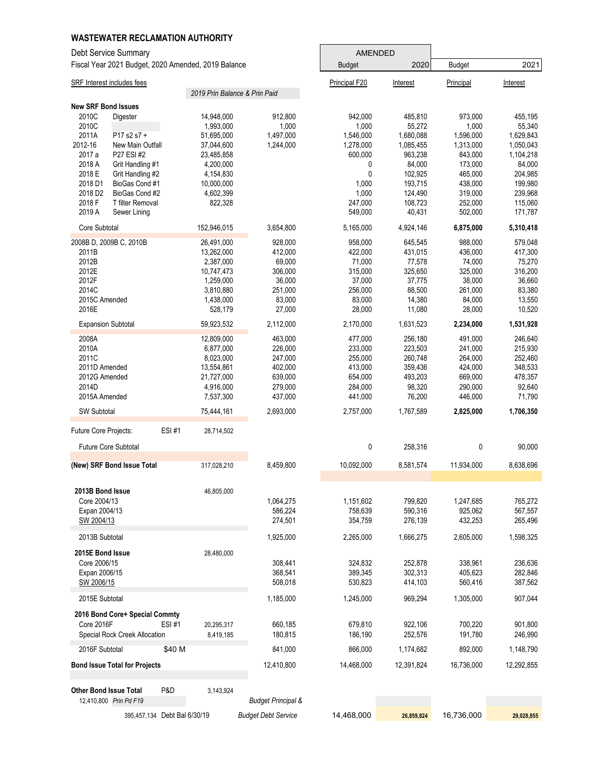| <b>WASTEWATER RECLAMATION AUTHORITY</b>                                                                                                                  |                                                                                                       |                                                                                  |                                                                                  |                                                                                 |                                                                                  |                                                                                 |
|----------------------------------------------------------------------------------------------------------------------------------------------------------|-------------------------------------------------------------------------------------------------------|----------------------------------------------------------------------------------|----------------------------------------------------------------------------------|---------------------------------------------------------------------------------|----------------------------------------------------------------------------------|---------------------------------------------------------------------------------|
| Debt Service Summary                                                                                                                                     |                                                                                                       |                                                                                  | <b>AMENDED</b>                                                                   |                                                                                 |                                                                                  |                                                                                 |
| Fiscal Year 2021 Budget, 2020 Amended, 2019 Balance                                                                                                      |                                                                                                       |                                                                                  | <b>Budget</b>                                                                    | 2020                                                                            | <b>Budget</b>                                                                    | 2021                                                                            |
| <b>SRF Interest includes fees</b>                                                                                                                        |                                                                                                       |                                                                                  | Principal F20                                                                    | Interest                                                                        | Principal                                                                        | Interest                                                                        |
|                                                                                                                                                          | 2019 Prin Balance & Prin Paid                                                                         |                                                                                  |                                                                                  |                                                                                 |                                                                                  |                                                                                 |
| <b>New SRF Bond Issues</b>                                                                                                                               |                                                                                                       |                                                                                  |                                                                                  |                                                                                 |                                                                                  |                                                                                 |
| 2010C<br>Digester<br>2010C<br>2011A<br>P17 s2 s7 +<br>2012-16<br>New Main Outfall<br>2017 a<br>P27 ESI #2<br>2018 A<br>Grit Handling #1                  | 14,948,000<br>1,993,000<br>51,695,000<br>37,044,600<br>23,485,858<br>4,200,000                        | 912,800<br>1,000<br>1,497,000<br>1,244,000                                       | 942,000<br>1,000<br>1,546,000<br>1,278,000<br>600,000<br>0                       | 485,810<br>55,272<br>1,680,088<br>1,085,455<br>963,238<br>84,000                | 973,000<br>1,000<br>1,596,000<br>1,313,000<br>843,000<br>173,000                 | 455,195<br>55,340<br>1,629,843<br>1,050,043<br>1,104,218<br>84,000              |
| 2018 E<br>Grit Handling #2<br>2018 D1<br>BioGas Cond #1<br>2018 D <sub>2</sub><br>BioGas Cond #2<br>2018 F<br>T filter Removal<br>2019 A<br>Sewer Lining | 4,154,830<br>10,000,000<br>4,602,399<br>822,328                                                       |                                                                                  | 0<br>1,000<br>1,000<br>247,000<br>549,000                                        | 102,925<br>193,715<br>124,490<br>108,723<br>40,431                              | 465,000<br>438,000<br>319,000<br>252,000<br>502,000                              | 204,985<br>199,980<br>239,968<br>115,060<br>171,787                             |
| Core Subtotal                                                                                                                                            | 152,946,015                                                                                           | 3,654,800                                                                        | 5,165,000                                                                        | 4,924,146                                                                       | 6,875,000                                                                        | 5,310,418                                                                       |
| 2008B D, 2009B C, 2010B<br>2011B<br>2012B<br>2012E<br>2012F<br>2014C<br>2015C Amended<br>2016E                                                           | 26,491,000<br>13,262,000<br>2,387,000<br>10,747,473<br>1,259,000<br>3,810,880<br>1,438,000<br>528,179 | 928.000<br>412,000<br>69,000<br>306,000<br>36,000<br>251,000<br>83,000<br>27,000 | 958,000<br>422,000<br>71,000<br>315,000<br>37,000<br>256,000<br>83,000<br>28,000 | 645,545<br>431,015<br>77,578<br>325,650<br>37,775<br>88,500<br>14,380<br>11,080 | 988,000<br>436,000<br>74,000<br>325,000<br>38,000<br>261,000<br>84,000<br>28,000 | 579,048<br>417,300<br>75,270<br>316,200<br>36,660<br>83,380<br>13,550<br>10,520 |
| <b>Expansion Subtotal</b>                                                                                                                                | 59,923,532                                                                                            | 2,112,000                                                                        | 2,170,000                                                                        | 1,631,523                                                                       | 2,234,000                                                                        | 1,531,928                                                                       |
| 2008A<br>2010A<br>2011C<br>2011D Amended<br>2012G Amended<br>2014D<br>2015A Amended                                                                      | 12,809,000<br>6,877,000<br>8,023,000<br>13,554,861<br>21,727,000<br>4,916,000<br>7,537,300            | 463,000<br>226,000<br>247,000<br>402,000<br>639,000<br>279,000<br>437,000        | 477,000<br>233,000<br>255,000<br>413,000<br>654,000<br>284,000<br>441,000        | 256,180<br>223,503<br>260,748<br>359,436<br>493,203<br>98,320<br>76,200         | 491,000<br>241,000<br>264,000<br>424,000<br>669,000<br>290,000<br>446,000        | 246,640<br>215,930<br>252,460<br>348,533<br>478,357<br>92,640<br>71,790         |
| SW Subtotal                                                                                                                                              | 75,444,161                                                                                            | 2,693,000                                                                        | 2,757,000                                                                        | 1,767,589                                                                       | 2,825,000                                                                        | 1,706,350                                                                       |
| Future Core Projects:<br><b>ESI#1</b><br><b>Future Core Subtotal</b>                                                                                     | 28,714,502                                                                                            |                                                                                  | 0                                                                                | 258,316                                                                         | 0                                                                                | 90,000                                                                          |
| (New) SRF Bond Issue Total                                                                                                                               | 317,028,210                                                                                           | 8,459,800                                                                        | 10,092,000                                                                       | 8,581,574                                                                       | 11,934,000                                                                       | 8,638,696                                                                       |
| 2013B Bond Issue<br>Core 2004/13<br>Expan 2004/13<br>SW 2004/13                                                                                          | 46,805,000                                                                                            | 1,064,275<br>586,224<br>274,501                                                  | 1,151,602<br>758,639<br>354,759                                                  | 799,820<br>590,316<br>276,139                                                   | 1,247,685<br>925,062<br>432,253                                                  | 765,272<br>567,557<br>265,496                                                   |
| 2013B Subtotal<br>2015E Bond Issue                                                                                                                       | 28,480,000                                                                                            | 1,925,000                                                                        | 2,265,000                                                                        | 1,666,275                                                                       | 2,605,000                                                                        | 1,598,325                                                                       |
| Core 2006/15<br>Expan 2006/15<br>SW 2006/15                                                                                                              |                                                                                                       | 308,441<br>368,541<br>508,018                                                    | 324,832<br>389,345<br>530,823                                                    | 252,878<br>302,313<br>414,103                                                   | 338,961<br>405,623<br>560,416                                                    | 236,636<br>282,846<br>387,562                                                   |
| 2015E Subtotal                                                                                                                                           |                                                                                                       | 1,185,000                                                                        | 1,245,000                                                                        | 969,294                                                                         | 1,305,000                                                                        | 907,044                                                                         |
| 2016 Bond Core+ Special Commty<br>Core 2016F<br>ESI #1<br>Special Rock Creek Allocation                                                                  | 20,295,317<br>8,419,185                                                                               | 660,185<br>180,815                                                               | 679,810<br>186,190                                                               | 922,106<br>252,576                                                              | 700,220<br>191,780                                                               | 901,800<br>246,990                                                              |
| 2016F Subtotal<br>\$40 M                                                                                                                                 |                                                                                                       | 841,000                                                                          | 866,000                                                                          | 1,174,682                                                                       | 892,000                                                                          | 1,148,790                                                                       |
| <b>Bond Issue Total for Projects</b>                                                                                                                     |                                                                                                       | 12,410,800                                                                       | 14,468,000                                                                       | 12,391,824                                                                      | 16,736,000                                                                       | 12,292,855                                                                      |
| <b>Other Bond Issue Total</b><br>P&D<br>12,410,800 Prin Pd F19                                                                                           | 3,143,924                                                                                             | <b>Budget Principal &amp;</b>                                                    |                                                                                  |                                                                                 |                                                                                  |                                                                                 |
| 395,457,134 Debt Bal 6/30/19                                                                                                                             |                                                                                                       | <b>Budget Debt Service</b>                                                       | 14,468,000                                                                       | 26,859,824                                                                      | 16,736,000                                                                       | 29,028,855                                                                      |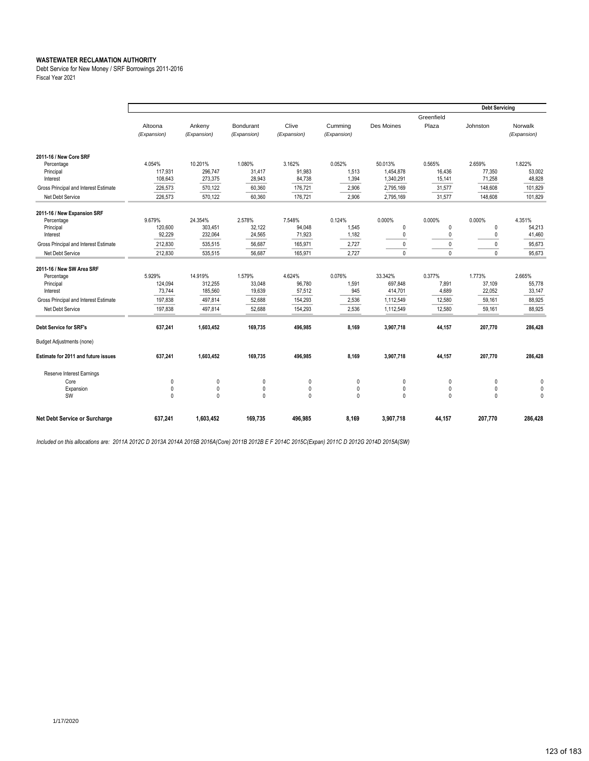Debt Service for New Money / SRF Borrowings 2011-2016 Fiscal Year 2021

|                                       |                        |                       |                          |                      |                        |              |                     | <b>Debt Servicing</b> |                        |
|---------------------------------------|------------------------|-----------------------|--------------------------|----------------------|------------------------|--------------|---------------------|-----------------------|------------------------|
|                                       | Altoona<br>(Expansion) | Ankeny<br>(Expansion) | Bondurant<br>(Expansion) | Clive<br>(Expansion) | Cummina<br>(Expansion) | Des Moines   | Greenfield<br>Plaza | Johnston              | Norwalk<br>(Expansion) |
| 2011-16 / New Core SRF                |                        |                       |                          |                      |                        |              |                     |                       |                        |
| Percentage                            | 4.054%                 | 10.201%               | 1.080%                   | 3.162%               | 0.052%                 | 50.013%      | 0.565%              | 2.659%                | 1.822%                 |
| Principal                             | 117,931                | 296,747               | 31,417                   | 91,983               | 1,513                  | 1,454,878    | 16.436              | 77,350                | 53,002                 |
| Interest                              | 108,643                | 273,375               | 28,943                   | 84,738               | 1,394                  | 1,340,291    | 15,141              | 71,258                | 48,828                 |
| Gross Principal and Interest Estimate | 226,573                | 570,122               | 60,360                   | 176,721              | 2,906                  | 2,795,169    | 31,577              | 148,608               | 101,829                |
| Net Debt Service                      | 226,573                | 570,122               | 60,360                   | 176,721              | 2,906                  | 2,795,169    | 31,577              | 148,608               | 101,829                |
| 2011-16 / New Expansion SRF           |                        |                       |                          |                      |                        |              |                     |                       |                        |
| Percentage                            | 9.679%                 | 24.354%               | 2.578%                   | 7.548%               | 0.124%                 | 0.000%       | 0.000%              | 0.000%                | 4.351%                 |
| Principal                             | 120,600                | 303,451               | 32,122                   | 94,048               | 1,545                  | 0            | 0                   | 0                     | 54,213                 |
| Interest                              | 92,229                 | 232,064               | 24,565                   | 71,923               | 1,182                  | 0            | 0                   | 0                     | 41,460                 |
| Gross Principal and Interest Estimate | 212,830                | 535,515               | 56,687                   | 165,971              | 2,727                  | 0            | 0                   | 0                     | 95,673                 |
| Net Debt Service                      | 212,830                | 535,515               | 56.687                   | 165,971              | 2.727                  | $\mathbf{0}$ | $\mathbf{0}$        | $\mathbf{0}$          | 95,673                 |
| 2011-16 / New SW Area SRF             |                        |                       |                          |                      |                        |              |                     |                       |                        |
| Percentage                            | 5.929%                 | 14.919%               | 1.579%                   | 4.624%               | 0.076%                 | 33.342%      | 0.377%              | 1.773%                | 2.665%                 |
| Principal                             | 124,094                | 312,255               | 33,048                   | 96,780               | 1,591                  | 697,848      | 7,891               | 37,109                | 55,778                 |
| Interest                              | 73,744                 | 185,560               | 19,639                   | 57,512               | 945                    | 414,701      | 4,689               | 22,052                | 33,147                 |
| Gross Principal and Interest Estimate | 197,838                | 497,814               | 52,688                   | 154,293              | 2,536                  | 1,112,549    | 12,580              | 59,161                | 88,925                 |
| Net Debt Service                      | 197,838                | 497,814               | 52,688                   | 154,293              | 2,536                  | 1,112,549    | 12,580              | 59,161                | 88,925                 |
| <b>Debt Service for SRF's</b>         | 637,241                | 1,603,452             | 169,735                  | 496,985              | 8,169                  | 3,907,718    | 44,157              | 207,770               | 286,428                |
| <b>Budget Adjustments (none)</b>      |                        |                       |                          |                      |                        |              |                     |                       |                        |
| Estimate for 2011 and future issues   | 637,241                | 1,603,452             | 169,735                  | 496,985              | 8,169                  | 3,907,718    | 44,157              | 207,770               | 286,428                |
| Reserve Interest Earnings             |                        |                       |                          |                      |                        |              |                     |                       |                        |
| Core                                  | 0                      | $\theta$              | $\theta$                 | $\mathbf{0}$         | $\mathbf{0}$           | 0            | 0                   | $\mathbf 0$           | $\Omega$               |
| Expansion                             | 0                      | $\mathbf{0}$          | 0                        | $\mathbf{0}$         | 0                      | 0            | 0                   | 0                     | 0                      |
| SW                                    | $\mathbf{0}$           | $\Omega$              | $\Omega$                 | $\mathbf{0}$         | 0                      | $\Omega$     | $\Omega$            | $\mathbf{0}$          | $\Omega$               |
| Net Debt Service or Surcharge         | 637,241                | 1,603,452             | 169,735                  | 496,985              | 8,169                  | 3,907,718    | 44,157              | 207,770               | 286,428                |

*Included on this allocations are: 2011A 2012C D 2013A 2014A 2015B 2016A(Core) 2011B 2012B E F 2014C 2015C(Expan) 2011C D 2012G 2014D 2015A(SW)*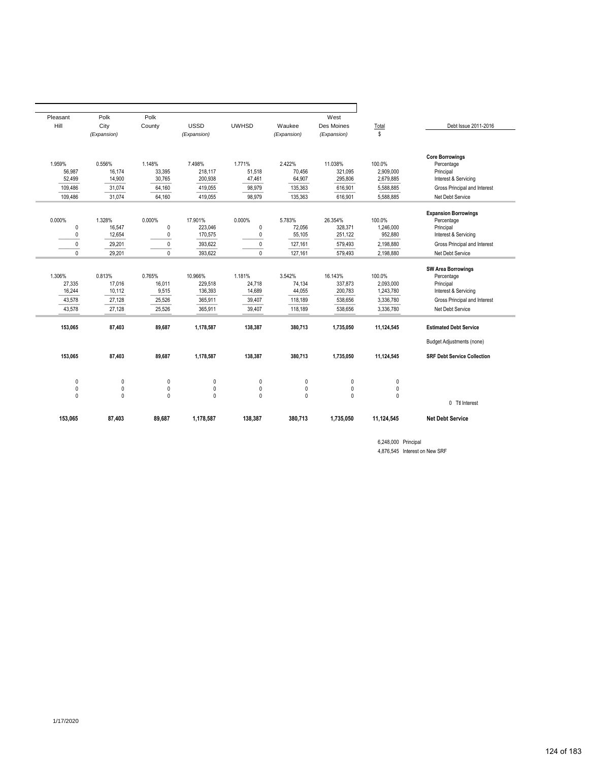|                                    |                     | West                      |                       |                     |                            | Polk                  | Polk                | Pleasant         |
|------------------------------------|---------------------|---------------------------|-----------------------|---------------------|----------------------------|-----------------------|---------------------|------------------|
| Debt Issue 2011-2016               | Total<br>\$         | Des Moines<br>(Expansion) | Waukee<br>(Expansion) | <b>UWHSD</b>        | <b>USSD</b><br>(Expansion) | County                | City<br>(Expansion) | Hill             |
|                                    |                     |                           |                       |                     |                            |                       |                     |                  |
| <b>Core Borrowings</b>             |                     |                           |                       |                     |                            |                       |                     |                  |
| Percentage                         | 100.0%<br>2.909.000 | 11.038%                   | 2.422%                | 1.771%              | 7.498%                     | 1.148%                | 0.556%              | 1.959%           |
| Principal<br>Interest & Servicing  | 2,679,885           | 321.095<br>295,806        | 70,456<br>64,907      | 51,518<br>47,461    | 218.117<br>200,938         | 33.395<br>30,765      | 16.174<br>14,900    | 56,987<br>52,499 |
| Gross Principal and Interest       | 5,588,885           | 616,901                   | 135,363               | 98,979              | 419,055                    | 64,160                | 31,074              | 109,486          |
| Net Debt Service                   | 5,588,885           | 616,901                   | 135,363               | 98,979              | 419,055                    | 64,160                | 31.074              | 109,486          |
|                                    |                     |                           |                       |                     |                            |                       |                     |                  |
| <b>Expansion Borrowings</b>        |                     |                           |                       |                     |                            |                       |                     |                  |
| Percentage<br>Principal            | 100.0%<br>1,246,000 | 26.354%<br>328.371        | 5.783%<br>72.056      | 0.000%<br>$\pmb{0}$ | 17.901%<br>223.046         | 0.000%<br>$\mathbf 0$ | 1.328%              | 0.000%<br>0      |
| Interest & Servicing               | 952,880             | 251,122                   | 55,105                | $\pmb{0}$           | 170,575                    | $\pmb{0}$             | 16,547<br>12,654    | 0                |
| Gross Principal and Interest       | 2,198,880           | 579,493                   | 127,161               | $\pmb{0}$           | 393,622                    | $\pmb{0}$             | 29,201              | $\pmb{0}$        |
| Net Debt Service                   | 2.198.880           | 579.493                   | 127.161               | $\mathbf{0}$        | 393.622                    | $\Omega$              | 29.201              | $\Omega$         |
|                                    |                     |                           |                       |                     |                            |                       |                     |                  |
| <b>SW Area Borrowings</b>          |                     |                           |                       |                     |                            |                       |                     |                  |
| Percentage                         | 100.0%              | 16.143%                   | 3.542%                | 1.181%              | 10.966%                    | 0.765%                | 0.813%              | 1.306%           |
| Principal                          | 2,093,000           | 337,873                   | 74,134                | 24,718              | 229,518                    | 16,011                | 17,016              | 27,335           |
| Interest & Servicing               | 1,243,780           | 200,783                   | 44,055                | 14,689              | 136,393                    | 9,515                 | 10.112              | 16.244           |
| Gross Principal and Interest       | 3,336,780           | 538,656                   | 118,189               | 39,407              | 365,911                    | 25,526                | 27,128              | 43,578           |
| Net Debt Service                   | 3,336,780           | 538,656                   | 118,189               | 39,407              | 365,911                    | 25,526                | 27,128              | 43,578           |
| <b>Estimated Debt Service</b>      | 11,124,545          | 1,735,050                 | 380,713               | 138,387             | 1,178,587                  | 89,687                | 87,403              | 153,065          |
| <b>Budget Adjustments (none)</b>   |                     |                           |                       |                     |                            |                       |                     |                  |
| <b>SRF Debt Service Collection</b> | 11,124,545          | 1.735.050                 | 380.713               | 138,387             | 1,178,587                  | 89.687                | 87,403              | 153.065          |
|                                    | 0                   | 0                         | $\pmb{0}$             | 0                   | 0                          | 0                     | 0                   | 0                |
|                                    | 0                   | 0                         | $\mathbf 0$           | 0                   | 0                          | 0                     | 0                   | 0                |
|                                    | 0                   | 0                         | $\mathbf 0$           | $\mathbf{0}$        | 0                          | 0                     | 0                   | $\mathbf{0}$     |
| 0 Ttl Interest                     |                     |                           |                       |                     |                            |                       |                     |                  |
| <b>Net Debt Service</b>            | 11,124,545          | 1,735,050                 | 380,713               | 138,387             | 1,178,587                  | 89,687                | 87,403              | 153,065          |

6,248,000 Principal 4,876,545 Interest on New SRF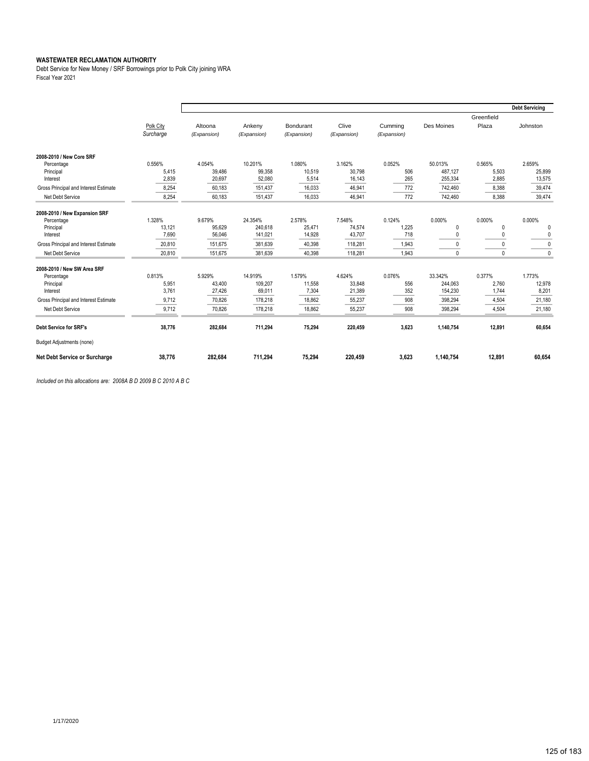Debt Service for New Money / SRF Borrowings prior to Polk City joining WRA Fiscal Year 2021

|                                       |                        |                        |                       |                          |                      |                        |            |                     | <b>Debt Servicing</b> |
|---------------------------------------|------------------------|------------------------|-----------------------|--------------------------|----------------------|------------------------|------------|---------------------|-----------------------|
|                                       | Polk City<br>Surcharge | Altoona<br>(Expansion) | Ankeny<br>(Expansion) | Bondurant<br>(Expansion) | Clive<br>(Expansion) | Cumming<br>(Expansion) | Des Moines | Greenfield<br>Plaza | Johnston              |
| 2008-2010 / New Core SRF              |                        |                        |                       |                          |                      |                        |            |                     |                       |
| Percentage                            | 0.556%                 | 4.054%                 | 10.201%               | 1.080%                   | 3.162%               | 0.052%                 | 50.013%    | 0.565%              | 2.659%                |
| Principal                             | 5,415                  | 39,486                 | 99,358                | 10,519                   | 30,798               | 506                    | 487,127    | 5,503               | 25,899                |
| Interest                              | 2,839                  | 20,697                 | 52,080                | 5,514                    | 16,143               | 265                    | 255,334    | 2,885               | 13,575                |
| Gross Principal and Interest Estimate | 8,254                  | 60.183                 | 151,437               | 16.033                   | 46,941               | 772                    | 742.460    | 8,388               | 39,474                |
| Net Debt Service                      | 8,254                  | 60,183                 | 151,437               | 16,033                   | 46,941               | 772                    | 742,460    | 8,388               | 39,474                |
| 2008-2010 / New Expansion SRF         |                        |                        |                       |                          |                      |                        |            |                     |                       |
| Percentage                            | 1.328%                 | 9.679%                 | 24.354%               | 2.578%                   | 7.548%               | 0.124%                 | 0.000%     | 0.000%              | 0.000%                |
| Principal                             | 13,121                 | 95,629                 | 240,618               | 25,471                   | 74,574               | 1,225                  | 0          | $\theta$            | $\Omega$              |
| Interest                              | 7,690                  | 56,046                 | 141,021               | 14,928                   | 43,707               | 718                    |            |                     | $\mathbf 0$           |
| Gross Principal and Interest Estimate | 20,810                 | 151.675                | 381,639               | 40.398                   | 118,281              | 1,943                  |            | $\theta$            | $\Omega$              |
| Net Debt Service                      | 20,810                 | 151,675                | 381,639               | 40,398                   | 118,281              | 1,943                  | 0          | $\Omega$            | $\mathbf{0}$          |
| 2008-2010 / New SW Area SRF           |                        |                        |                       |                          |                      |                        |            |                     |                       |
| Percentage                            | 0.813%                 | 5.929%                 | 14.919%               | 1.579%                   | 4.624%               | 0.076%                 | 33.342%    | 0.377%              | 1.773%                |
| Principal                             | 5,951                  | 43,400                 | 109,207               | 11,558                   | 33,848               | 556                    | 244,063    | 2,760               | 12,978                |
| Interest                              | 3,761                  | 27,426                 | 69,011                | 7,304                    | 21,389               | 352                    | 154,230    | 1,744               | 8,201                 |
| Gross Principal and Interest Estimate | 9,712                  | 70,826                 | 178,218               | 18,862                   | 55,237               | 908                    | 398,294    | 4,504               | 21,180                |
| Net Debt Service                      | 9,712                  | 70,826                 | 178,218               | 18,862                   | 55,237               | 908                    | 398,294    | 4,504               | 21,180                |
| <b>Debt Service for SRF's</b>         | 38.776                 | 282.684                | 711,294               | 75,294                   | 220,459              | 3.623                  | 1.140.754  | 12.891              | 60,654                |
| <b>Budget Adjustments (none)</b>      |                        |                        |                       |                          |                      |                        |            |                     |                       |
| Net Debt Service or Surcharge         | 38,776                 | 282,684                | 711,294               | 75,294                   | 220,459              | 3,623                  | 1,140,754  | 12,891              | 60,654                |

*Included on this allocations are: 2008A B D 2009 B C 2010 A B C*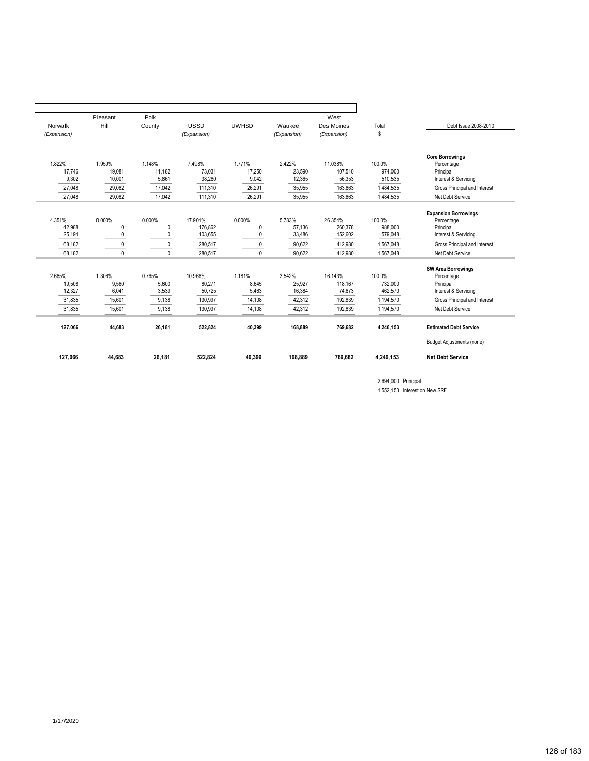|                  | Pleasant         | Polk             |                  |                  |                  | West               |                   |                                  |
|------------------|------------------|------------------|------------------|------------------|------------------|--------------------|-------------------|----------------------------------|
| Norwalk          | Hill             | County           | <b>USSD</b>      | <b>UWHSD</b>     | Waukee           | Des Moines         | Total             | Debt Issue 2008-2010             |
| (Expansion)      |                  |                  | (Expansion)      |                  | (Expansion)      | (Expansion)        | \$                |                                  |
|                  |                  |                  |                  |                  |                  |                    |                   |                                  |
|                  |                  |                  |                  |                  |                  |                    |                   |                                  |
|                  |                  |                  |                  |                  |                  |                    |                   | <b>Core Borrowings</b>           |
| 1.822%<br>17.746 | 1.959%<br>19,081 | 1.148%<br>11.182 | 7.498%<br>73,031 | 1.771%<br>17.250 | 2.422%<br>23,590 | 11.038%<br>107,510 | 100.0%<br>974.000 | Percentage<br>Principal          |
| 9,302            | 10,001           | 5,861            | 38,280           | 9,042            | 12,365           | 56,353             | 510,535           | Interest & Servicing             |
|                  |                  |                  |                  |                  |                  |                    |                   |                                  |
| 27,048           | 29,082           | 17,042           | 111,310          | 26,291           | 35,955           | 163,863            | 1,484,535         | Gross Principal and Interest     |
| 27,048           | 29,082           | 17,042           | 111,310          | 26,291           | 35,955           | 163,863            | 1,484,535         | Net Debt Service                 |
|                  |                  |                  |                  |                  |                  |                    |                   |                                  |
|                  |                  |                  |                  |                  |                  |                    |                   | <b>Expansion Borrowings</b>      |
| 4.351%           | 0.000%           | 0.000%           | 17.901%          | 0.000%           | 5.783%           | 26.354%            | 100.0%            | Percentage                       |
| 42,988           | $\theta$         | 0<br>$\Omega$    | 176,862          | 0                | 57,136           | 260,378            | 988,000           | Principal                        |
| 25.194           | $\theta$         |                  | 103.655          | 0                | 33,486           | 152,602            | 579,048           | Interest & Servicing             |
| 68,182           | $\mathbf{0}$     | 0                | 280,517          | $\Omega$         | 90,622           | 412.980            | 1,567,048         | Gross Principal and Interest     |
| 68.182           | $\mathbf{0}$     | $\Omega$         | 280.517          | $\mathbf{0}$     | 90.622           | 412.980            | 1.567.048         | Net Debt Service                 |
|                  |                  |                  |                  |                  |                  |                    |                   |                                  |
|                  |                  |                  |                  |                  |                  |                    |                   | <b>SW Area Borrowings</b>        |
| 2.665%           | 1.306%           | 0.765%           | 10.966%          | 1.181%           | 3.542%           | 16.143%            | 100.0%            | Percentage                       |
| 19.508           | 9,560            | 5.600            | 80,271           | 8,645            | 25.927           | 118.167            | 732.000           | Principal                        |
| 12,327           | 6,041            | 3,539            | 50,725           | 5,463            | 16,384           | 74,673             | 462,570           | Interest & Servicing             |
| 31,835           | 15,601           | 9,138            | 130,997          | 14,108           | 42,312           | 192,839            | 1,194,570         | Gross Principal and Interest     |
| 31,835           | 15,601           | 9,138            | 130,997          | 14,108           | 42,312           | 192,839            | 1,194,570         | Net Debt Service                 |
| 127,066          | 44.683           | 26.181           | 522,824          | 40,399           | 168.889          | 769.682            | 4,246,153         | <b>Estimated Debt Service</b>    |
|                  |                  |                  |                  |                  |                  |                    |                   |                                  |
|                  |                  |                  |                  |                  |                  |                    |                   | <b>Budget Adjustments (none)</b> |
| 127,066          | 44,683           | 26.181           | 522,824          | 40,399           | 168,889          | 769.682            | 4,246,153         | <b>Net Debt Service</b>          |

2,694,000 Principal

1,552,153 Interest on New SRF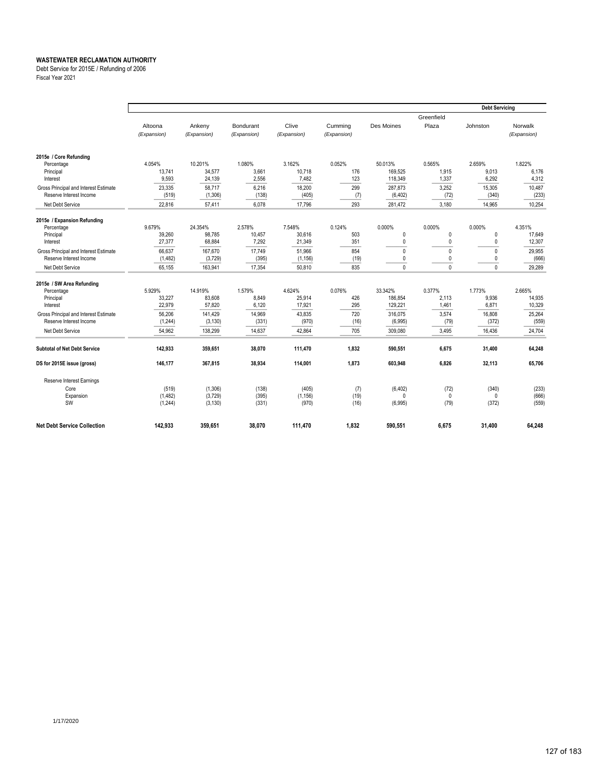Debt Service for 2015E / Refunding of 2006

Fiscal Year 2021

|                                       |                  |                    |                |                   |             |                      |                      | <b>Debt Servicing</b> |                |
|---------------------------------------|------------------|--------------------|----------------|-------------------|-------------|----------------------|----------------------|-----------------------|----------------|
|                                       |                  |                    |                |                   |             |                      | Greenfield           |                       |                |
|                                       | Altoona          | Ankeny             | Bondurant      | Clive             | Cumming     | Des Moines           | Plaza                | Johnston              | Norwalk        |
|                                       | (Expansion)      | (Expansion)        | (Expansion)    | (Expansion)       | (Expansion) |                      |                      |                       | (Expansion)    |
|                                       |                  |                    |                |                   |             |                      |                      |                       |                |
| 2015e / Core Refunding                | 4.054%           | 10.201%            | 1.080%         | 3.162%            | 0.052%      | 50.013%              | 0.565%               | 2.659%                | 1.822%         |
| Percentage<br>Principal               | 13,741           | 34,577             | 3,661          | 10,718            | 176         | 169,525              | 1,915                | 9,013                 | 6,176          |
| Interest                              | 9,593            | 24,139             | 2,556          | 7,482             | 123         | 118,349              | 1,337                | 6,292                 | 4,312          |
| Gross Principal and Interest Estimate | 23,335           | 58,717             | 6,216          | 18,200            | 299         | 287.873              | 3,252                | 15,305                | 10,487         |
| Reserve Interest Income               | (519)            | (1,306)            | (138)          | (405)             | (7)         | (6, 402)             | (72)                 | (340)                 | (233)          |
| Net Debt Service                      | 22,816           | 57.411             | 6.078          | 17,796            | 293         | 281,472              | 3,180                | 14,965                | 10,254         |
| 2015e / Expansion Refunding           |                  |                    |                |                   |             |                      |                      |                       |                |
| Percentage                            | 9.679%           | 24.354%            | 2.578%         | 7.548%            | 0.124%      | 0.000%               | 0.000%               | 0.000%                | 4.351%         |
| Principal                             | 39,260           | 98.785             | 10,457         | 30,616            | 503         | 0                    | $\mathbf 0$          | $\mathbf 0$           | 17,649         |
| Interest                              | 27,377           | 68,884             | 7,292          | 21,349            | 351         | 0                    | 0                    | $\mathbf{0}$          | 12,307         |
| Gross Principal and Interest Estimate | 66,637           | 167,670            | 17,749         | 51,966            | 854         | 0                    | $\mathbf{0}$         | $\mathbf{0}$          | 29,955         |
| Reserve Interest Income               | (1,482)          | (3,729)            | (395)          | (1, 156)          | (19)        | 0                    | 0                    | $\theta$              | (666)          |
| Net Debt Service                      | 65,155           | 163.941            | 17,354         | 50,810            | 835         | 0                    | $\mathbf{0}$         | $\mathbf{0}$          | 29,289         |
| 2015e / SW Area Refunding             |                  |                    |                |                   |             |                      |                      |                       |                |
| Percentage                            | 5.929%           | 14.919%            | 1.579%         | 4.624%            | 0.076%      | 33.342%              | 0.377%               | 1.773%                | 2.665%         |
| Principal                             | 33,227           | 83.608             | 8.849          | 25,914            | 426         | 186,854              | 2.113                | 9,936                 | 14,935         |
| Interest                              | 22,979           | 57,820             | 6,120          | 17,921            | 295         | 129,221              | 1,461                | 6,871                 | 10,329         |
| Gross Principal and Interest Estimate | 56.206           | 141,429            | 14,969         | 43,835            | 720         | 316.075              | 3.574                | 16,808                | 25,264         |
| Reserve Interest Income               | (1, 244)         | (3, 130)           | (331)          | (970)             | (16)        | (6,995)              | (79)                 | (372)                 | (559)          |
| Net Debt Service                      | 54,962           | 138,299            | 14,637         | 42,864            | 705         | 309,080              | 3,495                | 16,436                | 24,704         |
| <b>Subtotal of Net Debt Service</b>   | 142,933          | 359.651            | 38.070         | 111,470           | 1.832       | 590,551              | 6.675                | 31.400                | 64.248         |
| DS for 2015E issue (gross)            | 146.177          | 367.815            | 38.934         | 114.001           | 1.873       | 603.948              | 6.826                | 32.113                | 65,706         |
|                                       |                  |                    |                |                   |             |                      |                      |                       |                |
| Reserve Interest Earnings             |                  |                    |                |                   |             |                      |                      |                       |                |
| Core                                  | (519)<br>(1,482) | (1,306)<br>(3,729) | (138)<br>(395) | (405)<br>(1, 156) | (7)<br>(19) | (6, 402)<br>$\Omega$ | (72)<br>$\mathbf{0}$ | (340)<br>$\Omega$     | (233)<br>(666) |
| Expansion<br>SW                       | (1,244)          | (3, 130)           | (331)          | (970)             | (16)        | (6,995)              | (79)                 | (372)                 | (559)          |
|                                       |                  |                    |                |                   |             |                      |                      |                       |                |
| <b>Net Debt Service Collection</b>    | 142,933          | 359,651            | 38,070         | 111,470           | 1,832       | 590,551              | 6,675                | 31,400                | 64,248         |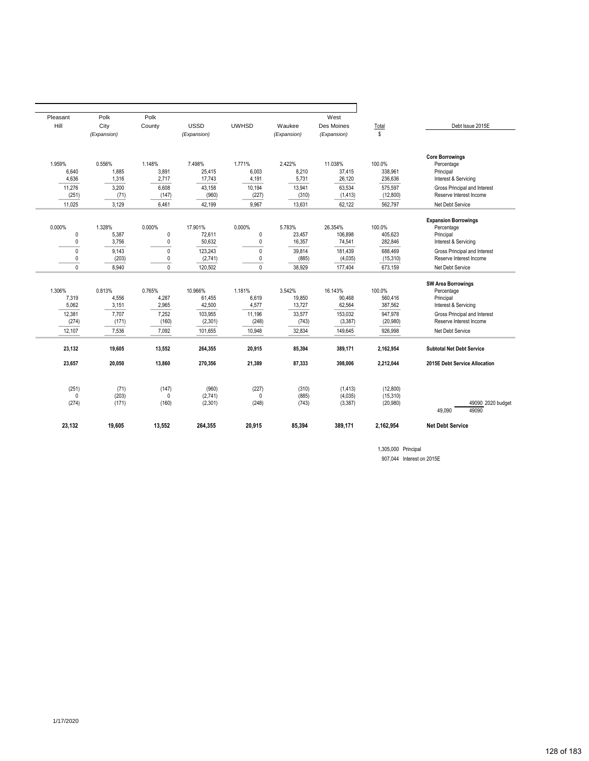| Pleasant          | Polk          | Polk         |                  |              |                | West                |                       |                                      |
|-------------------|---------------|--------------|------------------|--------------|----------------|---------------------|-----------------------|--------------------------------------|
| Hill              | City          | County       | <b>USSD</b>      | <b>UWHSD</b> | Waukee         | Des Moines          | Total                 | Debt Issue 2015E                     |
|                   | (Expansion)   |              | (Expansion)      |              | (Expansion)    | (Expansion)         | \$                    |                                      |
| 1.959%            | 0.556%        | 1.148%       | 7.498%           | 1.771%       | 2.422%         | 11.038%             | 100.0%                | <b>Core Borrowings</b><br>Percentage |
| 6.640             | 1,885         | 3,891        | 25,415           | 6.003        | 8.210          | 37.415              | 338,961               | Principal                            |
| 4,636             | 1,316         | 2,717        | 17,743           | 4,191        | 5,731          | 26,120              | 236,636               | Interest & Servicing                 |
| 11,276            | 3,200         | 6,608        | 43,158           | 10,194       | 13,941         | 63,534              | 575,597               | Gross Principal and Interest         |
| (251)             | (71)          | (147)        | (960)            | (227)        | (310)          | (1, 413)            | (12,800)              | Reserve Interest Income              |
| 11,025            | 3,129         | 6,461        | 42,199           | 9,967        | 13,631         | 62,122              | 562,797               | Net Debt Service                     |
|                   |               |              |                  |              |                |                     |                       | <b>Expansion Borrowings</b>          |
| 0.000%            | 1.328%        | 0.000%       | 17.901%          | 0.000%       | 5.783%         | 26.354%             | 100.0%                | Percentage                           |
| 0                 | 5.387         | $\mathbf 0$  | 72.611           | $\mathbf 0$  | 23.457         | 106.898             | 405.623               | Principal                            |
| 0                 | 3,756         | 0            | 50,632           | 0            | 16,357         | 74,541              | 282,846               | Interest & Servicing                 |
| $\mathbf{0}$      | 9,143         | $\mathbf{0}$ | 123,243          | $\mathbf{0}$ | 39,814         | 181,439             | 688,469               | Gross Principal and Interest         |
| 0                 | (203)         | 0            | (2,741)          | 0            | (885)          | (4,035)             | (15, 310)             | Reserve Interest Income              |
| $\mathbf{0}$      | 8,940         | $\mathbf{0}$ | 120,502          | $\mathbf{0}$ | 38,929         | 177,404             | 673,159               | Net Debt Service                     |
|                   |               |              |                  |              |                |                     |                       | <b>SW Area Borrowings</b>            |
| 1.306%            | 0.813%        | 0.765%       | 10.966%          | 1.181%       | 3.542%         | 16.143%             | 100.0%                | Percentage                           |
| 7,319             | 4,556         | 4,287        | 61,455           | 6,619        | 19,850         | 90,468              | 560,416               | Principal                            |
| 5,062             | 3,151         | 2,965        | 42,500           | 4,577        | 13,727         | 62,564              | 387,562               | Interest & Servicing                 |
| 12,381            | 7,707         | 7,252        | 103,955          | 11,196       | 33,577         | 153,032             | 947,978               | Gross Principal and Interest         |
| (274)             | (171)         | (160)        | (2,301)          | (248)        | (743)          | (3, 387)            | (20, 980)             | Reserve Interest Income              |
| 12,107            | 7,536         | 7,092        | 101,655          | 10,948       | 32,834         | 149,645             | 926,998               | Net Debt Service                     |
| 23,132            | 19,605        | 13,552       | 264,355          | 20,915       | 85,394         | 389,171             | 2,162,954             | <b>Subtotal Net Debt Service</b>     |
| 23,657            | 20,050        | 13,860       | 270,356          | 21,389       | 87,333         | 398,006             | 2,212,044             | 2015E Debt Service Allocation        |
|                   |               |              |                  |              |                |                     |                       |                                      |
| (251)<br>$\Omega$ | (71)<br>(203) | (147)<br>0   | (960)<br>(2,741) | (227)<br>0   | (310)<br>(885) | (1, 413)<br>(4,035) | (12,800)<br>(15, 310) |                                      |
| (274)             | (171)         | (160)        | (2,301)          | (248)        | (743)          | (3, 387)            | (20, 980)             | 49090 2020 budget                    |
|                   |               |              |                  |              |                |                     |                       | 49090<br>49.090                      |
| 23,132            | 19,605        | 13,552       | 264,355          | 20,915       | 85,394         | 389,171             | 2,162,954             | <b>Net Debt Service</b>              |
|                   |               |              |                  |              |                |                     |                       |                                      |

1,305,000 Principal 907,044 Interest on 2015E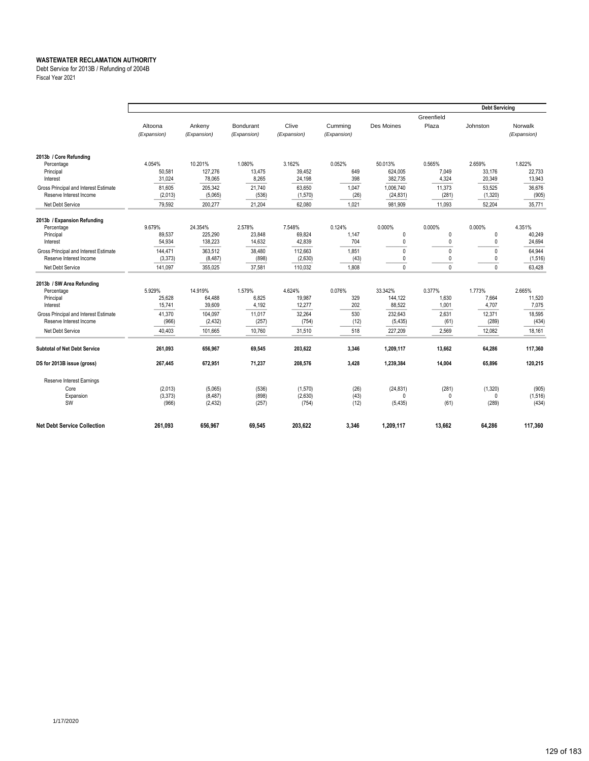Debt Service for 2013B / Refunding of 2004B

Fiscal Year 2021

|                                       |                        |                       |                          |                      |                        |                    |                | <b>Debt Servicing</b> |                        |
|---------------------------------------|------------------------|-----------------------|--------------------------|----------------------|------------------------|--------------------|----------------|-----------------------|------------------------|
|                                       |                        |                       |                          |                      |                        |                    | Greenfield     |                       |                        |
|                                       | Altoona<br>(Expansion) | Ankeny<br>(Expansion) | Bondurant<br>(Expansion) | Clive<br>(Expansion) | Cumming<br>(Expansion) | Des Moines         | Plaza          | Johnston              | Norwalk<br>(Expansion) |
| 2013b / Core Refunding                |                        |                       |                          |                      |                        |                    |                |                       |                        |
| Percentage                            | 4.054%                 | 10.201%               | 1.080%                   | 3.162%               | 0.052%                 | 50.013%            | 0.565%         | 2.659%                | 1.822%                 |
| Principal<br>Interest                 | 50,581<br>31,024       | 127,276<br>78,065     | 13,475<br>8.265          | 39,452<br>24,198     | 649<br>398             | 624,005<br>382.735 | 7.049<br>4.324 | 33.176<br>20,349      | 22,733<br>13,943       |
| Gross Principal and Interest Estimate | 81.605                 | 205.342               | 21,740                   | 63,650               | 1,047                  | 1.006.740          | 11,373         | 53,525                | 36,676                 |
| Reserve Interest Income               | (2,013)                | (5,065)               | (536)                    | (1,570)              | (26)                   | (24, 831)          | (281)          | (1, 320)              | (905)                  |
| Net Debt Service                      | 79,592                 | 200.277               | 21,204                   | 62,080               | 1,021                  | 981.909            | 11,093         | 52,204                | 35,771                 |
| 2013b / Expansion Refunding           |                        |                       |                          |                      |                        |                    |                |                       |                        |
| Percentage                            | 9.679%                 | 24.354%               | 2.578%                   | 7.548%               | 0.124%                 | 0.000%             | 0.000%         | 0.000%                | 4.351%                 |
| Principal                             | 89,537                 | 225,290               | 23,848                   | 69,824               | 1,147                  | 0                  | $\pmb{0}$      | 0                     | 40,249                 |
| Interest                              | 54,934                 | 138,223               | 14,632                   | 42,839               | 704                    | 0                  | 0              | 0                     | 24,694                 |
| Gross Principal and Interest Estimate | 144,471                | 363.512               | 38.480                   | 112,663              | 1.851                  | $\mathbf{0}$       | 0              | $\Omega$              | 64,944                 |
| Reserve Interest Income               | (3, 373)               | (8, 487)              | (898)                    | (2,630)              | (43)                   | 0                  | 0              | 0                     | (1, 516)               |
| Net Debt Service                      | 141.097                | 355.025               | 37.581                   | 110.032              | 1.808                  | 0                  | $\Omega$       | $\mathbf{0}$          | 63.428                 |
| 2013b / SW Area Refunding             |                        |                       |                          |                      |                        |                    |                |                       |                        |
| Percentage                            | 5.929%                 | 14.919%               | 1.579%                   | 4.624%               | 0.076%                 | 33.342%            | 0.377%         | 1.773%                | 2.665%                 |
| Principal                             | 25,628                 | 64.488                | 6,825                    | 19,987               | 329                    | 144,122            | 1.630          | 7.664                 | 11,520                 |
| Interest                              | 15,741                 | 39,609                | 4,192                    | 12,277               | 202                    | 88,522             | 1,001          | 4,707                 | 7,075                  |
| Gross Principal and Interest Estimate | 41,370                 | 104,097               | 11,017                   | 32,264               | 530                    | 232,643            | 2.631          | 12,371                | 18,595                 |
| Reserve Interest Income               | (966)                  | (2, 432)              | (257)                    | (754)                | (12)                   | (5, 435)           | (61)           | (289)                 | (434)                  |
| Net Debt Service                      | 40,403                 | 101,665               | 10,760                   | 31,510               | 518                    | 227,209            | 2.569          | 12,082                | 18,161                 |
| <b>Subtotal of Net Debt Service</b>   | 261,093                | 656,967               | 69,545                   | 203,622              | 3,346                  | 1,209,117          | 13,662         | 64,286                | 117,360                |
| DS for 2013B issue (gross)            | 267,445                | 672,951               | 71,237                   | 208,576              | 3.428                  | 1,239,384          | 14.004         | 65,896                | 120,215                |
| Reserve Interest Earnings             |                        |                       |                          |                      |                        |                    |                |                       |                        |
| Core                                  | (2,013)                | (5,065)               | (536)                    | (1,570)              | (26)                   | (24, 831)          | (281)          | (1,320)               | (905)                  |
| Expansion                             | (3,373)                | (8, 487)              | (898)                    | (2,630)              | (43)                   | 0                  | $\mathbf{0}$   | $\Omega$              | (1, 516)               |
| SW                                    | (966)                  | (2, 432)              | (257)                    | (754)                | (12)                   | (5, 435)           | (61)           | (289)                 | (434)                  |
| <b>Net Debt Service Collection</b>    | 261,093                | 656,967               | 69,545                   | 203,622              | 3,346                  | 1,209,117          | 13,662         | 64,286                | 117,360                |